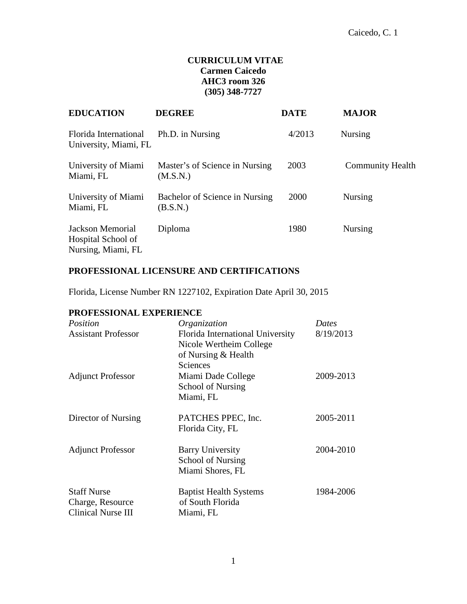# **CURRICULUM VITAE Carmen Caicedo AHC3 room 326 (305) 348-7727**

| <b>EDUCATION</b>                                             | <b>DEGREE</b>                              | <b>DATE</b> | <b>MAJOR</b>            |
|--------------------------------------------------------------|--------------------------------------------|-------------|-------------------------|
| Florida International<br>University, Miami, FL               | Ph.D. in Nursing                           | 4/2013      | <b>Nursing</b>          |
| University of Miami<br>Miami, FL                             | Master's of Science in Nursing<br>(M.S.N.) | 2003        | <b>Community Health</b> |
| University of Miami<br>Miami, FL                             | Bachelor of Science in Nursing<br>(B.S.N.) | 2000        | Nursing                 |
| Jackson Memorial<br>Hospital School of<br>Nursing, Miami, FL | Diploma                                    | 1980        | <b>Nursing</b>          |

# **PROFESSIONAL LICENSURE AND CERTIFICATIONS**

Florida, License Number RN 1227102, Expiration Date April 30, 2015

# **PROFESSIONAL EXPERIENCE**

| Position                                                     | Organization                                                                            | <b>Dates</b> |
|--------------------------------------------------------------|-----------------------------------------------------------------------------------------|--------------|
| <b>Assistant Professor</b>                                   | Florida International University<br>Nicole Wertheim College                             | 8/19/2013    |
| <b>Adjunct Professor</b>                                     | of Nursing & Health<br>Sciences<br>Miami Dade College<br>School of Nursing<br>Miami, FL | 2009-2013    |
| Director of Nursing                                          | PATCHES PPEC, Inc.<br>Florida City, FL                                                  | 2005-2011    |
| <b>Adjunct Professor</b>                                     | <b>Barry University</b><br>School of Nursing<br>Miami Shores, FL                        | 2004-2010    |
| <b>Staff Nurse</b><br>Charge, Resource<br>Clinical Nurse III | <b>Baptist Health Systems</b><br>of South Florida<br>Miami, FL                          | 1984-2006    |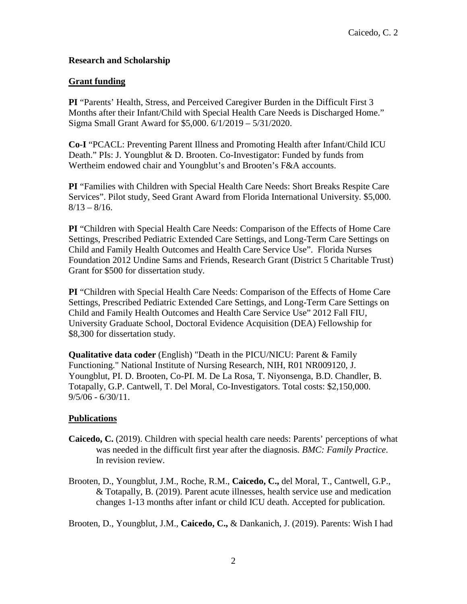## **Research and Scholarship**

### **Grant funding**

**PI** "Parents' Health, Stress, and Perceived Caregiver Burden in the Difficult First 3 Months after their Infant/Child with Special Health Care Needs is Discharged Home." Sigma Small Grant Award for \$5,000. 6/1/2019 – 5/31/2020.

**Co-I** "PCACL: Preventing Parent Illness and Promoting Health after Infant/Child ICU Death." PIs: J. Youngblut & D. Brooten. Co-Investigator: Funded by funds from Wertheim endowed chair and Youngblut's and Brooten's F&A accounts.

**PI** "Families with Children with Special Health Care Needs: Short Breaks Respite Care Services". Pilot study, Seed Grant Award from Florida International University. \$5,000.  $8/13 - 8/16$ .

**PI** "Children with Special Health Care Needs: Comparison of the Effects of Home Care Settings, Prescribed Pediatric Extended Care Settings, and Long-Term Care Settings on Child and Family Health Outcomes and Health Care Service Use". Florida Nurses Foundation 2012 Undine Sams and Friends, Research Grant (District 5 Charitable Trust) Grant for \$500 for dissertation study.

**PI** "Children with Special Health Care Needs: Comparison of the Effects of Home Care Settings, Prescribed Pediatric Extended Care Settings, and Long-Term Care Settings on Child and Family Health Outcomes and Health Care Service Use" 2012 Fall FIU, University Graduate School, Doctoral Evidence Acquisition (DEA) Fellowship for \$8,300 for dissertation study.

**Qualitative data coder** (English) "Death in the PICU/NICU: Parent & Family Functioning." National Institute of Nursing Research, NIH, R01 NR009120, J. Youngblut, PI. D. Brooten, Co-PI. M. De La Rosa, T. Niyonsenga, B.D. Chandler, B. Totapally, G.P. Cantwell, T. Del Moral, Co-Investigators. Total costs: \$2,150,000.  $9/5/06 - 6/30/11$ .

### **Publications**

- **Caicedo, C.** (2019). Children with special health care needs: Parents' perceptions of what was needed in the difficult first year after the diagnosis*. BMC: Family Practice*. In revision review.
- Brooten, D., Youngblut, J.M., Roche, R.M., **Caicedo, C.,** del Moral, T., Cantwell, G.P., & Totapally, B. (2019). Parent acute illnesses, health service use and medication changes 1-13 months after infant or child ICU death. Accepted for publication.

Brooten, D., Youngblut, J.M., **Caicedo, C.,** & Dankanich, J. (2019). Parents: Wish I had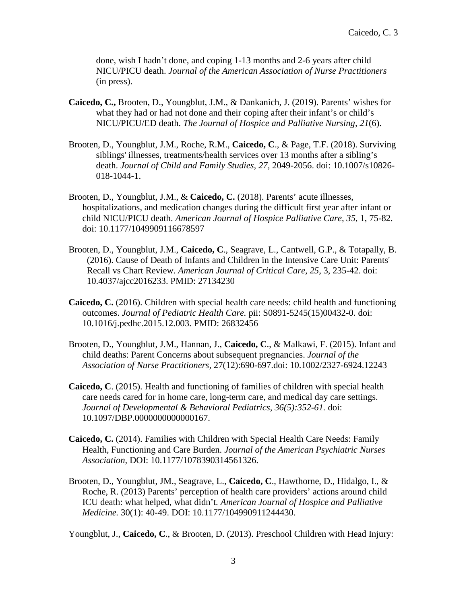done, wish I hadn't done, and coping 1-13 months and 2-6 years after child NICU/PICU death. *Journal of the American Association of Nurse Practitioners* (in press).

- **Caicedo, C.,** Brooten, D., Youngblut, J.M., & Dankanich, J. (2019). Parents' wishes for what they had or had not done and their coping after their infant's or child's NICU/PICU/ED death. *The Journal of Hospice and Palliative Nursing, 21*(6).
- Brooten, D., Youngblut, J.M., Roche, R.M., **Caicedo, C**., & Page, T.F. (2018). Surviving siblings' illnesses, treatments/health services over 13 months after a sibling's death. *Journal of Child and Family Studies, 27,* 2049-2056. doi: 10.1007/s10826- 018-1044-1.
- Brooten, D., Youngblut, J.M., & **Caicedo, C.** (2018). Parents' acute illnesses, hospitalizations, and medication changes during the difficult first year after infant or child NICU/PICU death. *American Journal of Hospice Palliative Care, 35*, 1, 75-82. doi: 10.1177/1049909116678597
- Brooten, D., Youngblut, J.M., **Caicedo, C**., Seagrave, L., Cantwell, G.P., & Totapally, B. (2016). Cause of Death of Infants and Children in the Intensive Care Unit: Parents' Recall vs Chart Review. *American Journal of Critical Care, 25*, 3, 235-42. doi: 10.4037/ajcc2016233. PMID: 27134230
- **Caicedo, C.** (2016). Children with special health care needs: child health and functioning outcomes. *Journal of Pediatric Health Care.* pii: S0891-5245(15)00432-0. doi: 10.1016/j.pedhc.2015.12.003. PMID: 26832456
- Brooten, D., Youngblut, J.M., Hannan, J., **Caicedo, C**., & Malkawi, F. (2015). Infant and child deaths: Parent Concerns about subsequent pregnancies. *Journal of the Association of Nurse Practitioners,* 27(12):690-697.doi: 10.1002/2327-6924.12243
- **Caicedo, C**. (2015). Health and functioning of families of children with special health care needs cared for in home care, long-term care, and medical day care settings. *Journal of Developmental & Behavioral Pediatrics, 36(5):352-61.* doi: 10.1097/DBP.0000000000000167.
- **Caicedo, C.** (2014). Families with Children with Special Health Care Needs: Family Health, Functioning and Care Burden. *Journal of the American Psychiatric Nurses Association,* DOI: 10.1177/1078390314561326.
- Brooten, D., Youngblut, JM., Seagrave, L., **Caicedo, C**., Hawthorne, D., Hidalgo, I., & Roche, R. (2013) Parents' perception of health care providers' actions around child ICU death: what helped, what didn't*. American Journal of Hospice and Palliative Medicine.* 30(1): 40-49. DOI: 10.1177/104990911244430.

Youngblut, J., **Caicedo, C**., & Brooten, D. (2013). Preschool Children with Head Injury: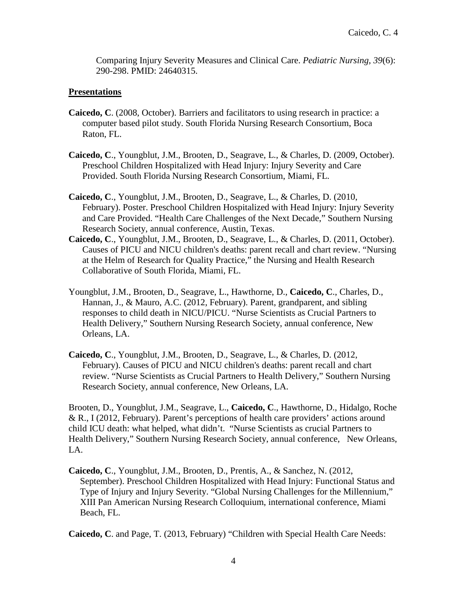Comparing Injury Severity Measures and Clinical Care. *Pediatric Nursing, 39*(6): 290-298. PMID: 24640315.

### **Presentations**

- **Caicedo, C**. (2008, October). Barriers and facilitators to using research in practice: a computer based pilot study. South Florida Nursing Research Consortium, Boca Raton, FL.
- **Caicedo, C**., Youngblut, J.M., Brooten, D., Seagrave, L., & Charles, D. (2009, October). Preschool Children Hospitalized with Head Injury: Injury Severity and Care Provided. South Florida Nursing Research Consortium, Miami, FL.
- **Caicedo, C**., Youngblut, J.M., Brooten, D., Seagrave, L., & Charles, D. (2010, February). Poster. Preschool Children Hospitalized with Head Injury: Injury Severity and Care Provided. "Health Care Challenges of the Next Decade," Southern Nursing Research Society, annual conference, Austin, Texas.
- **Caicedo, C**., Youngblut, J.M., Brooten, D., Seagrave, L., & Charles, D. (2011, October). Causes of PICU and NICU children's deaths: parent recall and chart review. "Nursing at the Helm of Research for Quality Practice," the Nursing and Health Research Collaborative of South Florida, Miami, FL.
- Youngblut, J.M., Brooten, D., Seagrave, L., Hawthorne, D., **Caicedo, C**., Charles, D., Hannan, J., & Mauro, A.C. (2012, February). Parent, grandparent, and sibling responses to child death in NICU/PICU. "Nurse Scientists as Crucial Partners to Health Delivery," Southern Nursing Research Society, annual conference, New Orleans, LA.
- **Caicedo, C**., Youngblut, J.M., Brooten, D., Seagrave, L., & Charles, D. (2012, February). Causes of PICU and NICU children's deaths: parent recall and chart review. "Nurse Scientists as Crucial Partners to Health Delivery," Southern Nursing Research Society, annual conference, New Orleans, LA.

Brooten, D., Youngblut, J.M., Seagrave, L., **Caicedo, C**., Hawthorne, D., Hidalgo, Roche & R., I (2012, February). Parent's perceptions of health care providers' actions around child ICU death: what helped, what didn't. "Nurse Scientists as crucial Partners to Health Delivery," Southern Nursing Research Society, annual conference, New Orleans, LA.

**Caicedo, C**., Youngblut, J.M., Brooten, D., Prentis, A., & Sanchez, N. (2012, September). Preschool Children Hospitalized with Head Injury: Functional Status and Type of Injury and Injury Severity. "Global Nursing Challenges for the Millennium," XIII Pan American Nursing Research Colloquium, international conference, Miami Beach, FL.

**Caicedo, C**. and Page, T. (2013, February) "Children with Special Health Care Needs: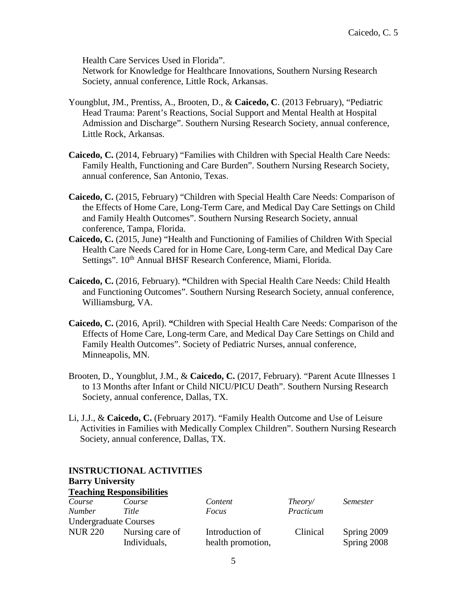Health Care Services Used in Florida".

Network for Knowledge for Healthcare Innovations, Southern Nursing Research Society, annual conference, Little Rock, Arkansas.

- Youngblut, JM., Prentiss, A., Brooten, D., & **Caicedo, C**. (2013 February), "Pediatric Head Trauma: Parent's Reactions, Social Support and Mental Health at Hospital Admission and Discharge". Southern Nursing Research Society, annual conference, Little Rock, Arkansas.
- **Caicedo, C.** (2014, February) "Families with Children with Special Health Care Needs: Family Health, Functioning and Care Burden". Southern Nursing Research Society, annual conference, San Antonio, Texas.
- **Caicedo, C.** (2015, February) "Children with Special Health Care Needs: Comparison of the Effects of Home Care, Long-Term Care, and Medical Day Care Settings on Child and Family Health Outcomes". Southern Nursing Research Society, annual conference, Tampa, Florida.
- **Caicedo, C.** (2015, June) "Health and Functioning of Families of Children With Special Health Care Needs Cared for in Home Care, Long-term Care, and Medical Day Care Settings". 10<sup>th</sup> Annual BHSF Research Conference, Miami, Florida.
- **Caicedo, C.** (2016, February). **"**Children with Special Health Care Needs: Child Health and Functioning Outcomes". Southern Nursing Research Society, annual conference, Williamsburg, VA.
- **Caicedo, C.** (2016, April). **"**Children with Special Health Care Needs: Comparison of the Effects of Home Care, Long-term Care, and Medical Day Care Settings on Child and Family Health Outcomes". Society of Pediatric Nurses, annual conference, Minneapolis, MN.
- Brooten, D., Youngblut, J.M., & **Caicedo, C.** (2017, February). "Parent Acute Illnesses 1 to 13 Months after Infant or Child NICU/PICU Death". Southern Nursing Research Society, annual conference, Dallas, TX.
- Li, J.J., & **Caicedo, C.** (February 2017). "Family Health Outcome and Use of Leisure Activities in Families with Medically Complex Children". Southern Nursing Research Society, annual conference, Dallas, TX.

| <b>Barry University</b>      |                                  |                   |           |                 |
|------------------------------|----------------------------------|-------------------|-----------|-----------------|
|                              | <b>Teaching Responsibilities</b> |                   |           |                 |
| Course                       | Course                           | Content           | Theory/   | <i>Semester</i> |
| <i>Number</i>                | Title                            | Focus             | Practicum |                 |
| <b>Undergraduate Courses</b> |                                  |                   |           |                 |
| <b>NUR 220</b>               | Nursing care of                  | Introduction of   | Clinical  | Spring 2009     |
|                              | Individuals,                     | health promotion, |           | Spring 2008     |

### **INSTRUCTIONAL ACTIVITIES**

#### 5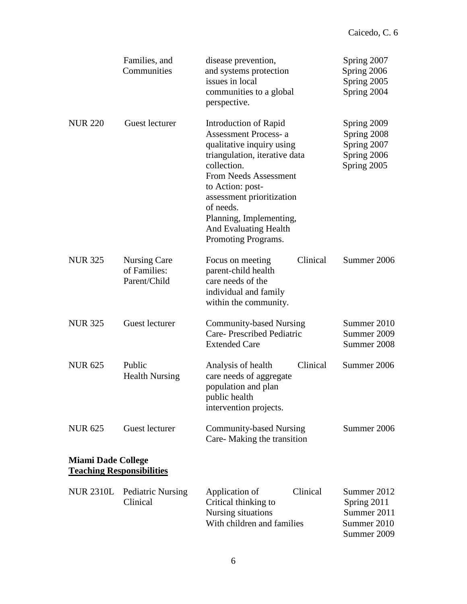|                           | Families, and<br>Communities                 | disease prevention,<br>and systems protection<br>issues in local<br>communities to a global<br>perspective.                                                                                                                                                                                                       | Spring 2007<br>Spring 2006<br>Spring 2005<br>Spring 2004                |
|---------------------------|----------------------------------------------|-------------------------------------------------------------------------------------------------------------------------------------------------------------------------------------------------------------------------------------------------------------------------------------------------------------------|-------------------------------------------------------------------------|
| <b>NUR 220</b>            | Guest lecturer                               | Introduction of Rapid<br><b>Assessment Process-a</b><br>qualitative inquiry using<br>triangulation, iterative data<br>collection.<br><b>From Needs Assessment</b><br>to Action: post-<br>assessment prioritization<br>of needs.<br>Planning, Implementing,<br><b>And Evaluating Health</b><br>Promoting Programs. | Spring 2009<br>Spring 2008<br>Spring 2007<br>Spring 2006<br>Spring 2005 |
| <b>NUR 325</b>            | Nursing Care<br>of Families:<br>Parent/Child | Clinical<br>Focus on meeting<br>parent-child health<br>care needs of the<br>individual and family<br>within the community.                                                                                                                                                                                        | Summer 2006                                                             |
| <b>NUR 325</b>            | Guest lecturer                               | <b>Community-based Nursing</b><br>Care- Prescribed Pediatric<br><b>Extended Care</b>                                                                                                                                                                                                                              | Summer 2010<br>Summer 2009<br>Summer 2008                               |
| <b>NUR 625</b>            | Public<br><b>Health Nursing</b>              | Analysis of health<br>Clinical<br>care needs of aggregate<br>population and plan<br>public health<br>intervention projects.                                                                                                                                                                                       | Summer 2006                                                             |
| <b>NUR 625</b>            | Guest lecturer                               | <b>Community-based Nursing</b><br>Care-Making the transition                                                                                                                                                                                                                                                      | Summer 2006                                                             |
| <b>Miami Dade College</b> | <b>Teaching Responsibilities</b>             |                                                                                                                                                                                                                                                                                                                   |                                                                         |
| <b>NUR 2310L</b>          | <b>Pediatric Nursing</b><br>Clinical         | Clinical<br>Application of<br>Critical thinking to<br>Nursing situations<br>With children and families                                                                                                                                                                                                            | Summer 2012<br>Spring 2011<br>Summer 2011<br>Summer 2010<br>Summer 2009 |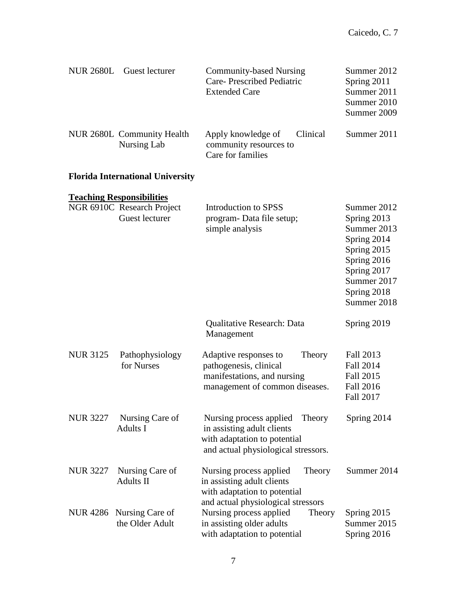| <b>NUR 2680L</b> | Guest lecturer                                                                   | <b>Community-based Nursing</b><br>Care- Prescribed Pediatric<br><b>Extended Care</b>                                                   | Summer 2012<br>Spring 2011<br>Summer 2011<br>Summer 2010<br>Summer 2009                |
|------------------|----------------------------------------------------------------------------------|----------------------------------------------------------------------------------------------------------------------------------------|----------------------------------------------------------------------------------------|
|                  | NUR 2680L Community Health<br><b>Nursing Lab</b>                                 | Apply knowledge of<br>Clinical<br>community resources to<br>Care for families                                                          | Summer 2011                                                                            |
|                  | <b>Florida International University</b>                                          |                                                                                                                                        |                                                                                        |
|                  | <b>Teaching Responsibilities</b><br>NGR 6910C Research Project<br>Guest lecturer | Introduction to SPSS<br>program- Data file setup;<br>simple analysis                                                                   | Summer 2012<br>Spring 2013<br>Summer 2013<br>Spring 2014                               |
|                  |                                                                                  |                                                                                                                                        | Spring 2015<br>Spring 2016<br>Spring 2017<br>Summer 2017<br>Spring 2018<br>Summer 2018 |
|                  |                                                                                  | Qualitative Research: Data<br>Management                                                                                               | Spring 2019                                                                            |
| <b>NUR 3125</b>  | Pathophysiology<br>for Nurses                                                    | Adaptive responses to<br>Theory<br>pathogenesis, clinical<br>manifestations, and nursing<br>management of common diseases.             | Fall 2013<br><b>Fall 2014</b><br>Fall 2015<br><b>Fall 2016</b><br>Fall 2017            |
| <b>NUR 3227</b>  | Nursing Care of<br><b>Adults I</b>                                               | Nursing process applied<br>Theory<br>in assisting adult clients<br>with adaptation to potential<br>and actual physiological stressors. | Spring 2014                                                                            |
| <b>NUR 3227</b>  | Nursing Care of<br>Adults II                                                     | Nursing process applied<br>Theory<br>in assisting adult clients<br>with adaptation to potential<br>and actual physiological stressors  | Summer 2014                                                                            |
|                  | NUR 4286 Nursing Care of<br>the Older Adult                                      | Nursing process applied<br>Theory<br>in assisting older adults<br>with adaptation to potential                                         | Spring 2015<br>Summer 2015<br>Spring 2016                                              |